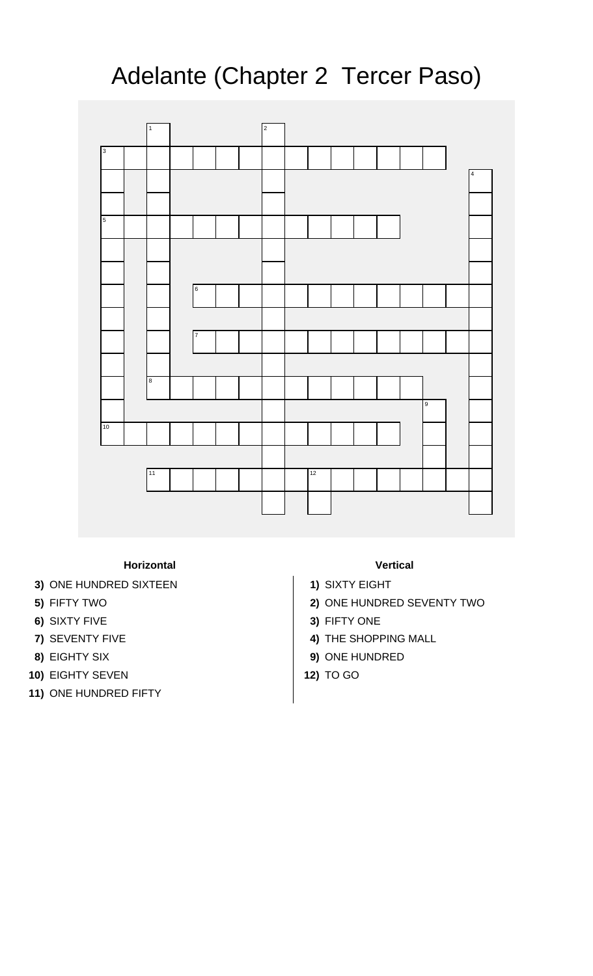## Adelante (Chapter 2 Tercer Paso)



**Horizontal Vertical**

- **3)** ONE HUNDRED SIXTEEN **1)** SIXTY EIGHT
- 
- 
- 
- 
- **10)** EIGHTY SEVEN **12)** TO GO
- **11)** ONE HUNDRED FIFTY

- 
- **5)** FIFTY TWO **2)** ONE HUNDRED SEVENTY TWO
- **6)** SIXTY FIVE **3)** FIFTY ONE
- **7)** SEVENTY FIVE **4)** THE SHOPPING MALL
- **8)** EIGHTY SIX **9)** ONE HUNDRED
	-